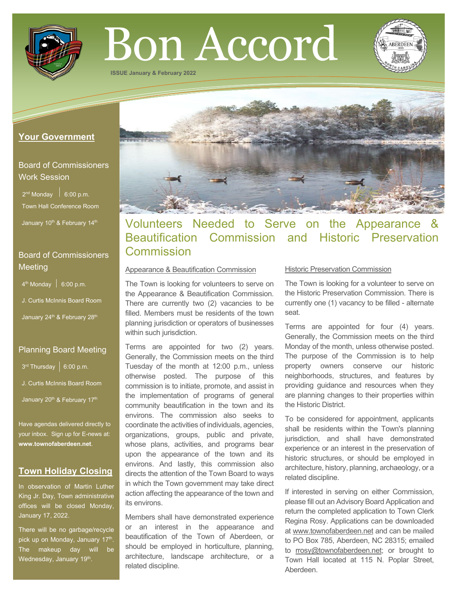

# Bon Accord

**ISSUE January & February 2022**

## **Your Government**

# Board of Commissioners Work Session

 $2^{nd}$  Monday  $\Big|$  6:00 p.m. Town Hall Conference Room

January 10<sup>th</sup> & February 14<sup>th</sup>

# Board of Commissioners **Meeting**

 $4<sup>th</sup>$  Monday  $\Big|$  6:00 p.m.

J. Curtis McInnis Board Room

January 24<sup>th</sup> & February 28<sup>th</sup>

# Planning Board Meeting

 $3^{rd}$  Thursday  $\Big|$  6:00 p.m.

J. Curtis McInnis Board Room

January 20<sup>th</sup> & February 17<sup>th</sup>

Have agendas delivered directly to your inbox. Sign up for E-news at: **[www.townofaberdeen.net](http://www.townofaberdeen.net/)**.

# **Town Holiday Closing**

In observation of Martin Luther King Jr. Day, Town administrative offices will be closed Monday, January 17, 2022.

There will be no garbage/recycle pick up on Monday, January 17<sup>th</sup>. The makeup day will be Wednesday, January 19<sup>th</sup>.



# Volunteers Needed to Serve on the Appearance & Beautification Commission and Historic Preservation **Commission**

#### Appearance & Beautification Commission

The Town is looking for volunteers to serve on the Appearance & Beautification Commission. There are currently two (2) vacancies to be filled. Members must be residents of the town planning jurisdiction or operators of businesses within such jurisdiction.

Terms are appointed for two (2) years. Generally, the Commission meets on the third Tuesday of the month at 12:00 p.m., unless otherwise posted. The purpose of this commission is to initiate, promote, and assist in the implementation of programs of general community beautification in the town and its environs. The commission also seeks to coordinate the activities of individuals, agencies, organizations, groups, public and private, whose plans, activities, and programs bear upon the appearance of the town and its environs. And lastly, this commission also directs the attention of the Town Board to ways in which the Town government may take direct action affecting the appearance of the town and its environs.

Members shall have demonstrated experience or an interest in the appearance and beautification of the Town of Aberdeen, or should be employed in horticulture, planning, architecture, landscape architecture, or a related discipline.

#### Historic Preservation Commission

The Town is looking for a volunteer to serve on the Historic Preservation Commission. There is currently one (1) vacancy to be filled - alternate seat.

Terms are appointed for four (4) years. Generally, the Commission meets on the third Monday of the month, unless otherwise posted. The purpose of the Commission is to help property owners conserve our historic neighborhoods, structures, and features by providing guidance and resources when they are planning changes to their properties within the Historic District.

To be considered for appointment, applicants shall be residents within the Town's planning jurisdiction, and shall have demonstrated experience or an interest in the preservation of historic structures, or should be employed in architecture, history, planning, archaeology, or a related discipline.

If interested in serving on either Commission, please fill out an Advisory Board Application and return the completed application to Town Clerk Regina Rosy. Applications can be downloaded at [www.townofaberdeen.net](http://www.townofaberdeen.net/) and can be mailed to PO Box 785, Aberdeen, NC 28315; emailed to [rrosy@townofaberdeen.net;](mailto:rrosy@townofaberdeen.net) or brought to Town Hall located at 115 N. Poplar Street, Aberdeen.